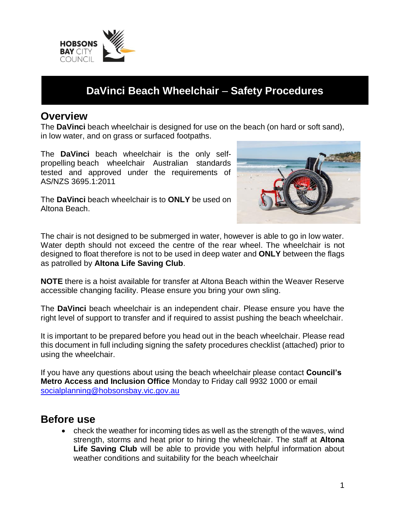

# **DaVinci Beach Wheelchair** – **Safety Procedures**

#### **Overview**

The **DaVinci** beach wheelchair is designed for use on the beach (on hard or soft sand), in low water, and on grass or surfaced footpaths.

The **DaVinci** beach wheelchair is the only selfpropelling beach wheelchair Australian standards tested and approved under the requirements of AS/NZS 3695.1:2011



The **DaVinci** beach wheelchair is to **ONLY** be used on Altona Beach.

The chair is not designed to be submerged in water, however is able to go in low water. Water depth should not exceed the centre of the rear wheel. The wheelchair is not designed to float therefore is not to be used in deep water and **ONLY** between the flags as patrolled by **Altona Life Saving Club**.

**NOTE** there is a hoist available for transfer at Altona Beach within the Weaver Reserve accessible changing facility. Please ensure you bring your own sling.

The **DaVinci** beach wheelchair is an independent chair. Please ensure you have the right level of support to transfer and if required to assist pushing the beach wheelchair.

It is important to be prepared before you head out in the beach wheelchair. Please read this document in full including signing the safety procedures checklist (attached) prior to using the wheelchair.

If you have any questions about using the beach wheelchair please contact **Council's Metro Access and Inclusion Office** Monday to Friday call 9932 1000 or email socialplanning@hobsonsbay.vic.gov.au

### **Before use**

 check the weather for incoming tides as well as the strength of the waves, wind strength, storms and heat prior to hiring the wheelchair. The staff at **Altona**  Life Saving Club will be able to provide you with helpful information about weather conditions and suitability for the beach wheelchair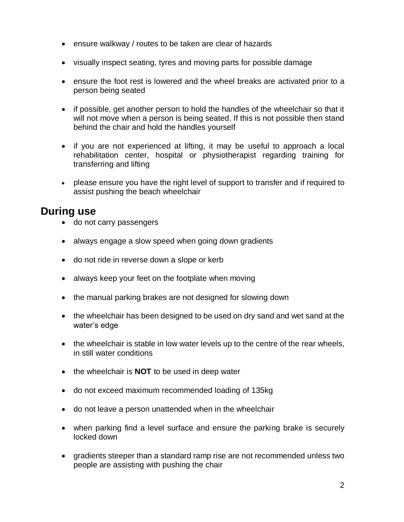- ensure walkway / routes to be taken are clear of hazards
- visually inspect seating, tyres and moving parts for possible damage
- ensure the foot rest is lowered and the wheel breaks are activated prior to a person being seated
- if possible, get another person to hold the handles of the wheelchair so that it will not move when a person is being seated. If this is not possible then stand behind the chair and hold the handles yourself
- if you are not experienced at lifting, it may be useful to approach a local rehabilitation center, hospital or physiotherapist regarding training for transferring and lifting
- please ensure you have the right level of support to transfer and if required to assist pushing the beach wheelchair

#### **During use**

- do not carry passengers
- always engage a slow speed when going down gradients
- do not ride in reverse down a slope or kerb
- always keep your feet on the footplate when moving
- the manual parking brakes are not designed for slowing down
- the wheelchair has been designed to be used on dry sand and wet sand at the water's edge
- the wheelchair is stable in low water levels up to the centre of the rear wheels, in still water conditions
- the wheelchair is **NOT** to be used in deep water
- do not exceed maximum recommended loading of 135kg
- do not leave a person unattended when in the wheelchair
- when parking find a level surface and ensure the parking brake is securely locked down
- gradients steeper than a standard ramp rise are not recommended unless two people are assisting with pushing the chair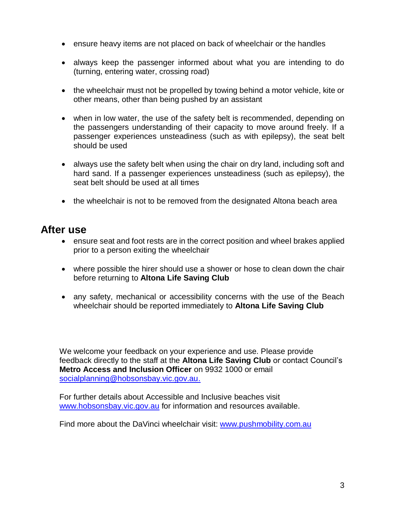- ensure heavy items are not placed on back of wheelchair or the handles
- always keep the passenger informed about what you are intending to do (turning, entering water, crossing road)
- the wheelchair must not be propelled by towing behind a motor vehicle, kite or other means, other than being pushed by an assistant
- when in low water, the use of the safety belt is recommended, depending on the passengers understanding of their capacity to move around freely. If a passenger experiences unsteadiness (such as with epilepsy), the seat belt should be used
- always use the safety belt when using the chair on dry land, including soft and hard sand. If a passenger experiences unsteadiness (such as epilepsy), the seat belt should be used at all times
- the wheelchair is not to be removed from the designated Altona beach area

#### **After use**

- ensure seat and foot rests are in the correct position and wheel brakes applied prior to a person exiting the wheelchair
- where possible the hirer should use a shower or hose to clean down the chair before returning to **Altona Life Saving Club**
- any safety, mechanical or accessibility concerns with the use of the Beach wheelchair should be reported immediately to **Altona Life Saving Club**

We welcome your feedback on your experience and use. Please provide feedback directly to the staff at the **Altona Life Saving Club** or contact Council's **Metro Access and Inclusion Officer** on 9932 1000 or email socialplanning@hobsonsbay.vic.gov.au.

For further details about Accessible and Inclusive beaches visit www.hobsonsbay.vic.gov.au for information and resources available.

Find more about the DaVinci wheelchair visit: www.pushmobility.com.au